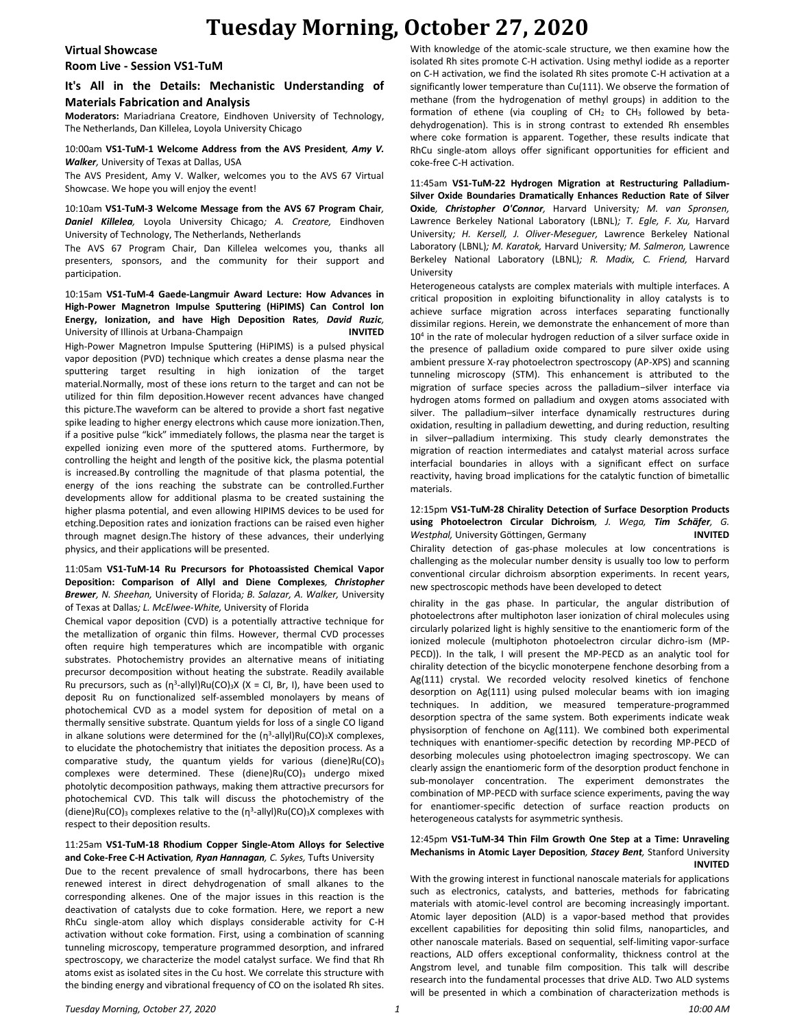# **Tuesday Morning, October 27, 2020**

#### **Virtual Showcase**

**Room Live - Session VS1-TuM**

### **It's All in the Details: Mechanistic Understanding of Materials Fabrication and Analysis**

**Moderators:** Mariadriana Creatore, Eindhoven University of Technology, The Netherlands, Dan Killelea, Loyola University Chicago

#### 10:00am **VS1-TuM-1 Welcome Address from the AVS President***, Amy V. Walker,* University of Texas at Dallas, USA

The AVS President, Amy V. Walker, welcomes you to the AVS 67 Virtual Showcase. We hope you will enjoy the event!

#### 10:10am **VS1-TuM-3 Welcome Message from the AVS 67 Program Chair***, Daniel Killelea,* Loyola University Chicago*; A. Creatore,* Eindhoven University of Technology, The Netherlands, Netherlands

The AVS 67 Program Chair, Dan Killelea welcomes you, thanks all presenters, sponsors, and the community for their support and participation.

10:15am **VS1-TuM-4 Gaede-Langmuir Award Lecture: How Advances in High-Power Magnetron Impulse Sputtering (HiPIMS) Can Control Ion Energy, Ionization, and have High Deposition Rates***, David Ruzic,*  University of Illinois at Urbana-Champaign **INVITED** High-Power Magnetron Impulse Sputtering (HiPIMS) is a pulsed physical vapor deposition (PVD) technique which creates a dense plasma near the sputtering target resulting in high ionization of the target material.Normally, most of these ions return to the target and can not be utilized for thin film deposition.However recent advances have changed this picture.The waveform can be altered to provide a short fast negative spike leading to higher energy electrons which cause more ionization.Then, if a positive pulse "kick" immediately follows, the plasma near the target is expelled ionizing even more of the sputtered atoms. Furthermore, by controlling the height and length of the positive kick, the plasma potential is increased.By controlling the magnitude of that plasma potential, the energy of the ions reaching the substrate can be controlled.Further developments allow for additional plasma to be created sustaining the higher plasma potential, and even allowing HIPIMS devices to be used for etching.Deposition rates and ionization fractions can be raised even higher through magnet design.The history of these advances, their underlying physics, and their applications will be presented.

#### 11:05am **VS1-TuM-14 Ru Precursors for Photoassisted Chemical Vapor Deposition: Comparison of Allyl and Diene Complexes***, Christopher Brewer, N. Sheehan,* University of Florida*; B. Salazar, A. Walker,* University of Texas at Dallas*; L. McElwee-White,* University of Florida

Chemical vapor deposition (CVD) is a potentially attractive technique for the metallization of organic thin films. However, thermal CVD processes often require high temperatures which are incompatible with organic substrates. Photochemistry provides an alternative means of initiating precursor decomposition without heating the substrate. Readily available Ru precursors, such as  $(n^3$ -allyl)Ru(CO)<sub>3</sub>X (X = Cl, Br, I), have been used to deposit Ru on functionalized self-assembled monolayers by means of photochemical CVD as a model system for deposition of metal on a thermally sensitive substrate. Quantum yields for loss of a single CO ligand in alkane solutions were determined for the  $(\eta^3$ -allyl)Ru(CO)<sub>3</sub>X complexes, to elucidate the photochemistry that initiates the deposition process. As a comparative study, the quantum yields for various (diene) $Ru(CO)_{3}$ complexes were determined. These (diene) $Ru(CO)_3$  undergo mixed photolytic decomposition pathways, making them attractive precursors for photochemical CVD. This talk will discuss the photochemistry of the (diene)Ru(CO)<sub>3</sub> complexes relative to the  $(\eta^3$ -allyl)Ru(CO)<sub>3</sub>X complexes with respect to their deposition results.

#### 11:25am **VS1-TuM-18 Rhodium Copper Single-Atom Alloys for Selective and Coke-Free C-H Activation***, Ryan Hannagan, C. Sykes,* Tufts University

Due to the recent prevalence of small hydrocarbons, there has been renewed interest in direct dehydrogenation of small alkanes to the corresponding alkenes. One of the major issues in this reaction is the deactivation of catalysts due to coke formation. Here, we report a new RhCu single-atom alloy which displays considerable activity for C-H activation without coke formation. First, using a combination of scanning tunneling microscopy, temperature programmed desorption, and infrared spectroscopy, we characterize the model catalyst surface. We find that Rh atoms exist as isolated sites in the Cu host. We correlate this structure with the binding energy and vibrational frequency of CO on the isolated Rh sites.

With knowledge of the atomic-scale structure, we then examine how the isolated Rh sites promote C-H activation. Using methyl iodide as a reporter on C-H activation, we find the isolated Rh sites promote C-H activation at a significantly lower temperature than Cu(111). We observe the formation of methane (from the hydrogenation of methyl groups) in addition to the formation of ethene (via coupling of  $CH<sub>2</sub>$  to  $CH<sub>3</sub>$  followed by betadehydrogenation). This is in strong contrast to extended Rh ensembles where coke formation is apparent. Together, these results indicate that RhCu single-atom alloys offer significant opportunities for efficient and coke-free C-H activation.

11:45am **VS1-TuM-22 Hydrogen Migration at Restructuring Palladium-Silver Oxide Boundaries Dramatically Enhances Reduction Rate of Silver Oxide***, Christopher O'Connor,* Harvard University*; M. van Spronsen,*  Lawrence Berkeley National Laboratory (LBNL)*; T. Egle, F. Xu,* Harvard University*; H. Kersell, J. Oliver-Meseguer,* Lawrence Berkeley National Laboratory (LBNL)*; M. Karatok,* Harvard University*; M. Salmeron,* Lawrence Berkeley National Laboratory (LBNL)*; R. Madix, C. Friend,* Harvard University

Heterogeneous catalysts are complex materials with multiple interfaces. A critical proposition in exploiting bifunctionality in alloy catalysts is to achieve surface migration across interfaces separating functionally dissimilar regions. Herein, we demonstrate the enhancement of more than 10<sup>4</sup> in the rate of molecular hydrogen reduction of a silver surface oxide in the presence of palladium oxide compared to pure silver oxide using ambient pressure X-ray photoelectron spectroscopy (AP-XPS) and scanning tunneling microscopy (STM). This enhancement is attributed to the migration of surface species across the palladium−silver interface via hydrogen atoms formed on palladium and oxygen atoms associated with silver. The palladium–silver interface dynamically restructures during oxidation, resulting in palladium dewetting, and during reduction, resulting in silver–palladium intermixing. This study clearly demonstrates the migration of reaction intermediates and catalyst material across surface interfacial boundaries in alloys with a significant effect on surface reactivity, having broad implications for the catalytic function of bimetallic materials.

#### 12:15pm **VS1-TuM-28 Chirality Detection of Surface Desorption Products using Photoelectron Circular Dichroism***, J. Wega, Tim Schäfer, G. Westphal,* University Göttingen, Germany **INVITED**

Chirality detection of gas-phase molecules at low concentrations is challenging as the molecular number density is usually too low to perform conventional circular dichroism absorption experiments. In recent years, new spectroscopic methods have been developed to detect

chirality in the gas phase. In particular, the angular distribution of photoelectrons after multiphoton laser ionization of chiral molecules using circularly polarized light is highly sensitive to the enantiomeric form of the ionized molecule (multiphoton photoelectron circular dichro-ism (MP-PECD)). In the talk, I will present the MP-PECD as an analytic tool for chirality detection of the bicyclic monoterpene fenchone desorbing from a Ag(111) crystal. We recorded velocity resolved kinetics of fenchone desorption on Ag(111) using pulsed molecular beams with ion imaging techniques. In addition, we measured temperature-programmed desorption spectra of the same system. Both experiments indicate weak physisorption of fenchone on Ag(111). We combined both experimental techniques with enantiomer-specific detection by recording MP-PECD of desorbing molecules using photoelectron imaging spectroscopy. We can clearly assign the enantiomeric form of the desorption product fenchone in sub-monolayer concentration. The experiment demonstrates the combination of MP-PECD with surface science experiments, paving the way for enantiomer-specific detection of surface reaction products on heterogeneous catalysts for asymmetric synthesis.

#### 12:45pm **VS1-TuM-34 Thin Film Growth One Step at a Time: Unraveling Mechanisms in Atomic Layer Deposition***, Stacey Bent,* Stanford University **INVITED**

With the growing interest in functional nanoscale materials for applications such as electronics, catalysts, and batteries, methods for fabricating materials with atomic-level control are becoming increasingly important. Atomic layer deposition (ALD) is a vapor-based method that provides excellent capabilities for depositing thin solid films, nanoparticles, and other nanoscale materials. Based on sequential, self-limiting vapor-surface reactions, ALD offers exceptional conformality, thickness control at the Angstrom level, and tunable film composition. This talk will describe research into the fundamental processes that drive ALD. Two ALD systems will be presented in which a combination of characterization methods is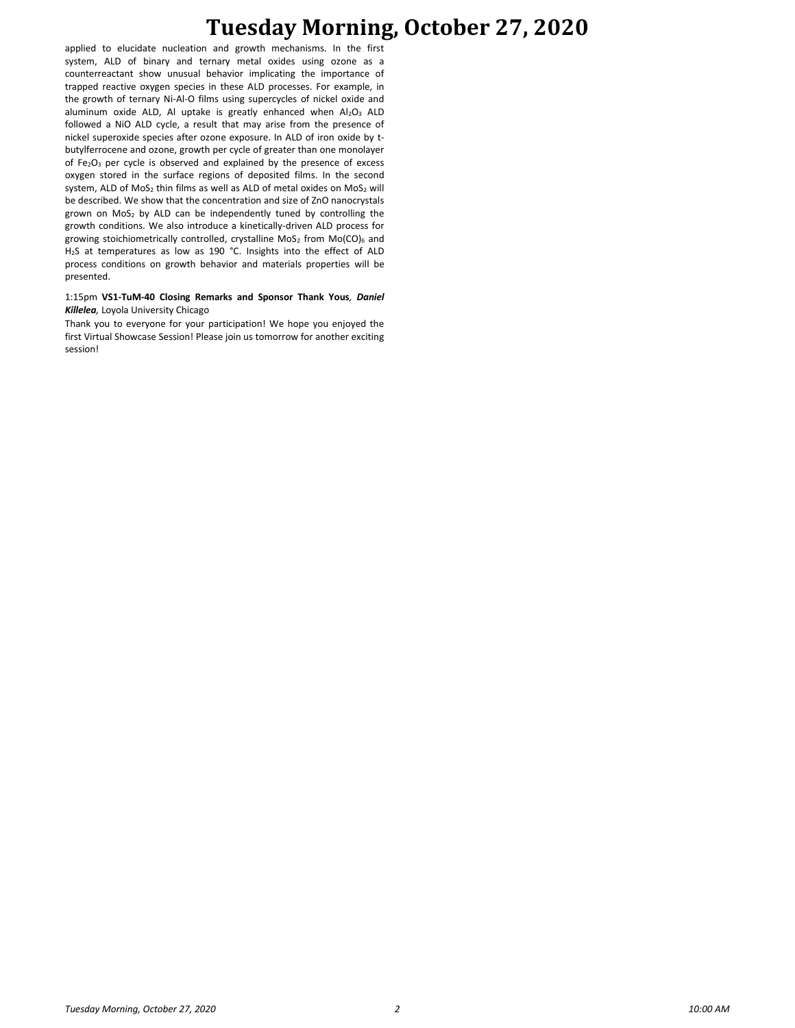## **Tuesday Morning, October 27, 2020**

applied to elucidate nucleation and growth mechanisms. In the first system, ALD of binary and ternary metal oxides using ozone as a counterreactant show unusual behavior implicating the importance of trapped reactive oxygen species in these ALD processes. For example, in the growth of ternary Ni-Al-O films using supercycles of nickel oxide and aluminum oxide ALD, Al uptake is greatly enhanced when  $Al_2O_3$  ALD followed a NiO ALD cycle, a result that may arise from the presence of nickel superoxide species after ozone exposure. In ALD of iron oxide by tbutylferrocene and ozone, growth per cycle of greater than one monolayer of Fe<sub>2</sub>O<sub>3</sub> per cycle is observed and explained by the presence of excess oxygen stored in the surface regions of deposited films. In the second system, ALD of  $MoS<sub>2</sub>$  thin films as well as ALD of metal oxides on  $MoS<sub>2</sub>$  will be described. We show that the concentration and size of ZnO nanocrystals grown on  $MoS<sub>2</sub>$  by ALD can be independently tuned by controlling the growth conditions. We also introduce a kinetically-driven ALD process for growing stoichiometrically controlled, crystalline MoS<sub>2</sub> from Mo(CO)<sub>6</sub> and H2S at temperatures as low as 190 °C. Insights into the effect of ALD process conditions on growth behavior and materials properties will be presented.

#### 1:15pm **VS1-TuM-40 Closing Remarks and Sponsor Thank Yous***, Daniel Killelea,* Loyola University Chicago

Thank you to everyone for your participation! We hope you enjoyed the first Virtual Showcase Session! Please join us tomorrow for another exciting session!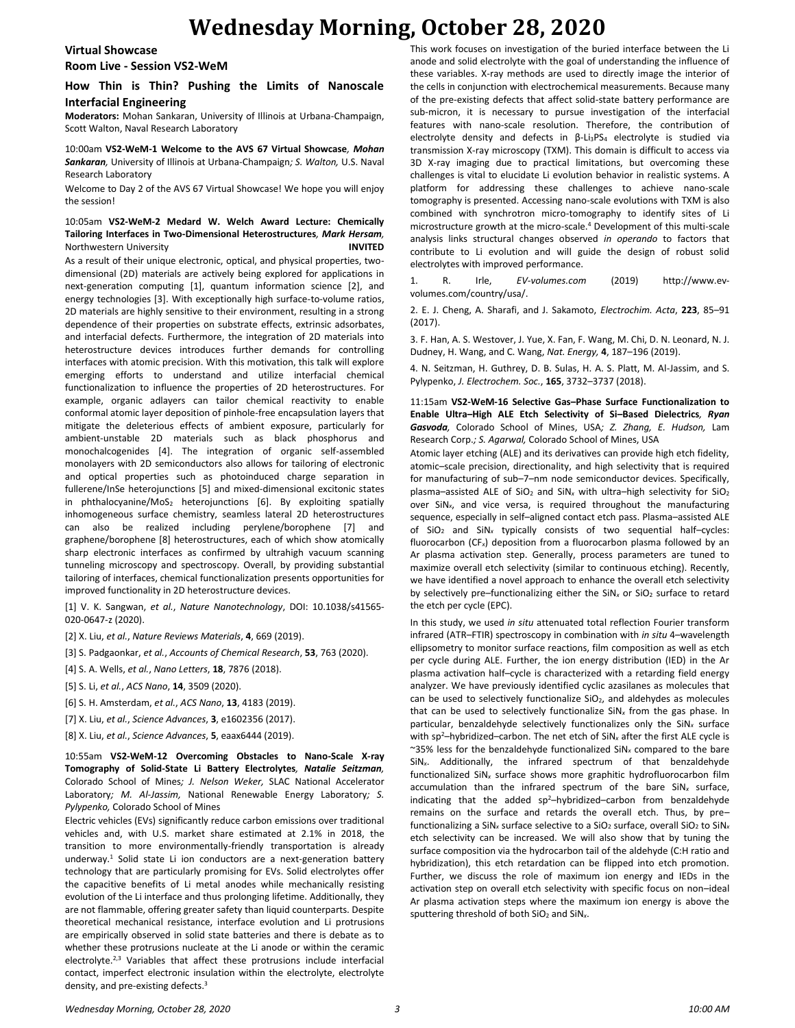## **Wednesday Morning, October 28, 2020**

#### **Virtual Showcase**

**Room Live - Session VS2-WeM**

### **How Thin is Thin? Pushing the Limits of Nanoscale Interfacial Engineering**

**Moderators:** Mohan Sankaran, University of Illinois at Urbana-Champaign, Scott Walton, Naval Research Laboratory

10:00am **VS2-WeM-1 Welcome to the AVS 67 Virtual Showcase***, Mohan Sankaran,* University of Illinois at Urbana-Champaign*; S. Walton,* U.S. Naval Research Laboratory

Welcome to Day 2 of the AVS 67 Virtual Showcase! We hope you will enjoy the session!

#### 10:05am **VS2-WeM-2 Medard W. Welch Award Lecture: Chemically Tailoring Interfaces in Two-Dimensional Heterostructures***, Mark Hersam,*  Northwestern University **INVITED**

As a result of their unique electronic, optical, and physical properties, twodimensional (2D) materials are actively being explored for applications in next-generation computing [1], quantum information science [2], and energy technologies [3]. With exceptionally high surface-to-volume ratios, 2D materials are highly sensitive to their environment, resulting in a strong dependence of their properties on substrate effects, extrinsic adsorbates, and interfacial defects. Furthermore, the integration of 2D materials into heterostructure devices introduces further demands for controlling interfaces with atomic precision. With this motivation, this talk will explore emerging efforts to understand and utilize interfacial chemical functionalization to influence the properties of 2D heterostructures. For example, organic adlayers can tailor chemical reactivity to enable conformal atomic layer deposition of pinhole-free encapsulation layers that mitigate the deleterious effects of ambient exposure, particularly for ambient-unstable 2D materials such as black phosphorus and monochalcogenides [4]. The integration of organic self-assembled monolayers with 2D semiconductors also allows for tailoring of electronic and optical properties such as photoinduced charge separation in fullerene/InSe heterojunctions [5] and mixed-dimensional excitonic states in phthalocyanine/MoS<sub>2</sub> heterojunctions  $[6]$ . By exploiting spatially inhomogeneous surface chemistry, seamless lateral 2D heterostructures can also be realized including perylene/borophene [7] and graphene/borophene [8] heterostructures, each of which show atomically sharp electronic interfaces as confirmed by ultrahigh vacuum scanning tunneling microscopy and spectroscopy. Overall, by providing substantial tailoring of interfaces, chemical functionalization presents opportunities for improved functionality in 2D heterostructure devices.

[1] V. K. Sangwan, *et al.*, *Nature Nanotechnology*, DOI: 10.1038/s41565- 020-0647-z (2020).

[2] X. Liu, *et al.*, *Nature Reviews Materials*, **4**, 669 (2019).

[3] S. Padgaonkar, *et al.*, *Accounts of Chemical Research*, **53**, 763 (2020).

[4] S. A. Wells, *et al.*, *Nano Letters*, **18**, 7876 (2018).

[5] S. Li, *et al.*, *ACS Nano*, **14**, 3509 (2020).

[6] S. H. Amsterdam, *et al.*, *ACS Nano*, **13**, 4183 (2019).

[7] X. Liu, *et al.*, *Science Advances*, **3**, e1602356 (2017).

[8] X. Liu, *et al.*, *Science Advances*, **5**, eaax6444 (2019).

10:55am **VS2-WeM-12 Overcoming Obstacles to Nano-Scale X-ray Tomography of Solid-State Li Battery Electrolytes***, Natalie Seitzman,*  Colorado School of Mines*; J. Nelson Weker,* SLAC National Accelerator Laboratory*; M. Al-Jassim,* National Renewable Energy Laboratory*; S. Pylypenko,* Colorado School of Mines

Electric vehicles (EVs) significantly reduce carbon emissions over traditional vehicles and, with U.S. market share estimated at 2.1% in 2018, the transition to more environmentally-friendly transportation is already underway.<sup>1</sup> Solid state Li ion conductors are a next-generation battery technology that are particularly promising for EVs. Solid electrolytes offer the capacitive benefits of Li metal anodes while mechanically resisting evolution of the Li interface and thus prolonging lifetime. Additionally, they are not flammable, offering greater safety than liquid counterparts. Despite theoretical mechanical resistance, interface evolution and Li protrusions are empirically observed in solid state batteries and there is debate as to whether these protrusions nucleate at the Li anode or within the ceramic electrolyte.<sup>2,3</sup> Variables that affect these protrusions include interfacial contact, imperfect electronic insulation within the electrolyte, electrolyte density, and pre-existing defects.<sup>3</sup>

This work focuses on investigation of the buried interface between the Li anode and solid electrolyte with the goal of understanding the influence of these variables. X-ray methods are used to directly image the interior of the cells in conjunction with electrochemical measurements. Because many of the pre-existing defects that affect solid-state battery performance are sub-micron, it is necessary to pursue investigation of the interfacial features with nano-scale resolution. Therefore, the contribution of electrolyte density and defects in β-Li<sub>3</sub>PS<sub>4</sub> electrolyte is studied via transmission X-ray microscopy (TXM). This domain is difficult to access via 3D X-ray imaging due to practical limitations, but overcoming these challenges is vital to elucidate Li evolution behavior in realistic systems. A platform for addressing these challenges to achieve nano-scale tomography is presented. Accessing nano-scale evolutions with TXM is also combined with synchrotron micro-tomography to identify sites of Li microstructure growth at the micro-scale.<sup>4</sup> Development of this multi-scale analysis links structural changes observed *in operando* to factors that contribute to Li evolution and will guide the design of robust solid electrolytes with improved performance.

1. R. Irle, *EV-volumes.com* (2019) http://www.evvolumes.com/country/usa/.

2. E. J. Cheng, A. Sharafi, and J. Sakamoto, *Electrochim. Acta*, **223**, 85–91 (2017).

3. F. Han, A. S. Westover, J. Yue, X. Fan, F. Wang, M. Chi, D. N. Leonard, N. J. Dudney, H. Wang, and C. Wang, *Nat. Energy,* **4**, 187–196 (2019).

4. N. Seitzman, H. Guthrey, D. B. Sulas, H. A. S. Platt, M. Al-Jassim, and S. Pylypenko, *J. Electrochem. Soc.*, **165**, 3732–3737 (2018).

11:15am **VS2-WeM-16 Selective Gas–Phase Surface Functionalization to Enable Ultra–High ALE Etch Selectivity of Si–Based Dielectrics***, Ryan Gasvoda,* Colorado School of Mines, USA*; Z. Zhang, E. Hudson,* Lam Research Corp.*; S. Agarwal,* Colorado School of Mines, USA

Atomic layer etching (ALE) and its derivatives can provide high etch fidelity, atomic–scale precision, directionality, and high selectivity that is required for manufacturing of sub–7–nm node semiconductor devices. Specifically, plasma-assisted ALE of SiO<sub>2</sub> and SiN<sub>x</sub> with ultra-high selectivity for SiO<sub>2</sub> over SiN*x*, and vice versa, is required throughout the manufacturing sequence, especially in self–aligned contact etch pass. Plasma–assisted ALE of SiO<sup>2</sup> and SiN*<sup>x</sup>* typically consists of two sequential half–cycles: fluorocarbon (CF*x*) deposition from a fluorocarbon plasma followed by an Ar plasma activation step. Generally, process parameters are tuned to maximize overall etch selectivity (similar to continuous etching). Recently, we have identified a novel approach to enhance the overall etch selectivity by selectively pre–functionalizing either the SiN<sub>x</sub> or SiO<sub>2</sub> surface to retard the etch per cycle (EPC).

In this study, we used *in situ* attenuated total reflection Fourier transform infrared (ATR–FTIR) spectroscopy in combination with *in situ* 4–wavelength ellipsometry to monitor surface reactions, film composition as well as etch per cycle during ALE. Further, the ion energy distribution (IED) in the Ar plasma activation half–cycle is characterized with a retarding field energy analyzer. We have previously identified cyclic azasilanes as molecules that can be used to selectively functionalize SiO<sub>2</sub>, and aldehydes as molecules that can be used to selectively functionalize SiN*<sup>x</sup>* from the gas phase. In particular, benzaldehyde selectively functionalizes only the SiN*<sup>x</sup>* surface with sp<sup>2</sup>-hybridized-carbon. The net etch of SiN<sub>x</sub> after the first ALE cycle is ~35% less for the benzaldehyde functionalized SiN*<sup>x</sup>* compared to the bare SiN*x*. Additionally, the infrared spectrum of that benzaldehyde functionalized SiN*<sup>x</sup>* surface shows more graphitic hydrofluorocarbon film accumulation than the infrared spectrum of the bare SiN*<sup>x</sup>* surface, indicating that the added  $sp^2$ -hybridized-carbon from benzaldehyde remains on the surface and retards the overall etch. Thus, by pre– functionalizing a SiN<sub>x</sub> surface selective to a SiO<sub>2</sub> surface, overall SiO<sub>2</sub> to SiN<sub>x</sub> etch selectivity can be increased. We will also show that by tuning the surface composition via the hydrocarbon tail of the aldehyde (C:H ratio and hybridization), this etch retardation can be flipped into etch promotion. Further, we discuss the role of maximum ion energy and IEDs in the activation step on overall etch selectivity with specific focus on non–ideal Ar plasma activation steps where the maximum ion energy is above the sputtering threshold of both SiO<sup>2</sup> and SiN*x*.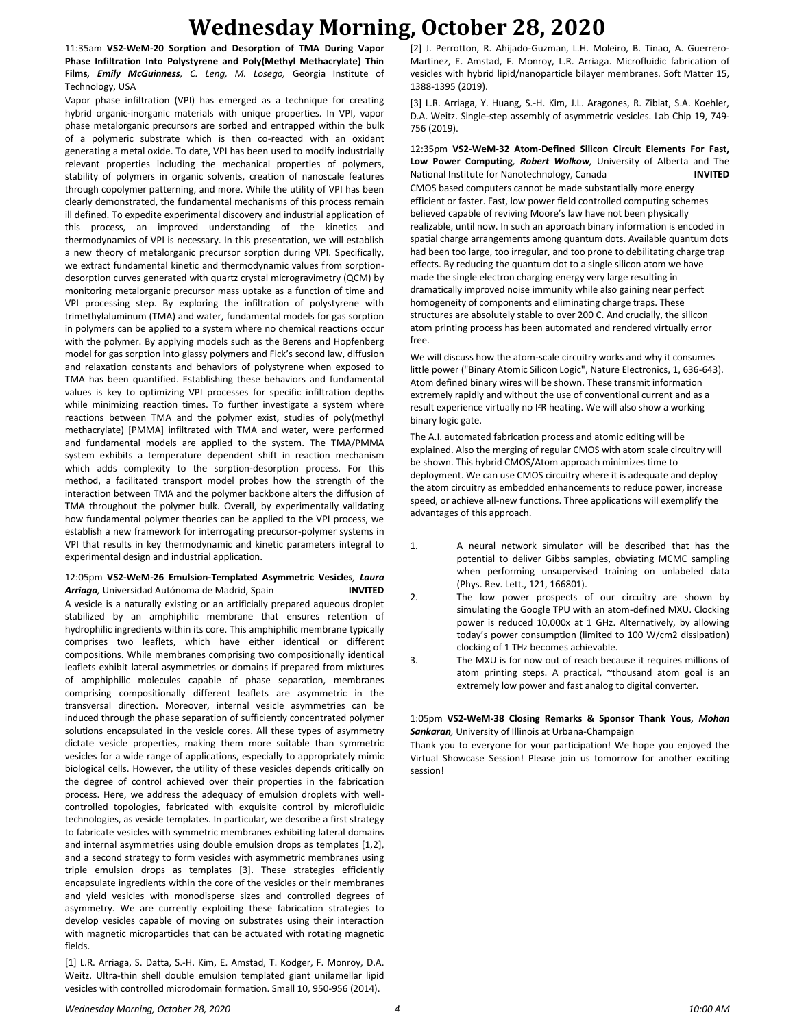## **Wednesday Morning, October 28, 2020**

11:35am **VS2-WeM-20 Sorption and Desorption of TMA During Vapor Phase Infiltration Into Polystyrene and Poly(Methyl Methacrylate) Thin Films***, Emily McGuinness, C. Leng, M. Losego,* Georgia Institute of Technology, USA

Vapor phase infiltration (VPI) has emerged as a technique for creating hybrid organic-inorganic materials with unique properties. In VPI, vapor phase metalorganic precursors are sorbed and entrapped within the bulk of a polymeric substrate which is then co-reacted with an oxidant generating a metal oxide. To date, VPI has been used to modify industrially relevant properties including the mechanical properties of polymers, stability of polymers in organic solvents, creation of nanoscale features through copolymer patterning, and more. While the utility of VPI has been clearly demonstrated, the fundamental mechanisms of this process remain ill defined. To expedite experimental discovery and industrial application of this process, an improved understanding of the kinetics and thermodynamics of VPI is necessary. In this presentation, we will establish a new theory of metalorganic precursor sorption during VPI. Specifically, we extract fundamental kinetic and thermodynamic values from sorptiondesorption curves generated with quartz crystal microgravimetry (QCM) by monitoring metalorganic precursor mass uptake as a function of time and VPI processing step. By exploring the infiltration of polystyrene with trimethylaluminum (TMA) and water, fundamental models for gas sorption in polymers can be applied to a system where no chemical reactions occur with the polymer. By applying models such as the Berens and Hopfenberg model for gas sorption into glassy polymers and Fick's second law, diffusion and relaxation constants and behaviors of polystyrene when exposed to TMA has been quantified. Establishing these behaviors and fundamental values is key to optimizing VPI processes for specific infiltration depths while minimizing reaction times. To further investigate a system where reactions between TMA and the polymer exist, studies of poly(methyl methacrylate) [PMMA] infiltrated with TMA and water, were performed and fundamental models are applied to the system. The TMA/PMMA system exhibits a temperature dependent shift in reaction mechanism which adds complexity to the sorption-desorption process. For this method, a facilitated transport model probes how the strength of the interaction between TMA and the polymer backbone alters the diffusion of TMA throughout the polymer bulk. Overall, by experimentally validating how fundamental polymer theories can be applied to the VPI process, we establish a new framework for interrogating precursor-polymer systems in VPI that results in key thermodynamic and kinetic parameters integral to experimental design and industrial application.

#### 12:05pm **VS2-WeM-26 Emulsion-Templated Asymmetric Vesicles***, Laura Arriaga,* Universidad Autónoma de Madrid, Spain **INVITED**

A vesicle is a naturally existing or an artificially prepared aqueous droplet stabilized by an amphiphilic membrane that ensures retention of hydrophilic ingredients within its core. This amphiphilic membrane typically comprises two leaflets, which have either identical or different compositions. While membranes comprising two compositionally identical leaflets exhibit lateral asymmetries or domains if prepared from mixtures of amphiphilic molecules capable of phase separation, membranes comprising compositionally different leaflets are asymmetric in the transversal direction. Moreover, internal vesicle asymmetries can be induced through the phase separation of sufficiently concentrated polymer solutions encapsulated in the vesicle cores. All these types of asymmetry dictate vesicle properties, making them more suitable than symmetric vesicles for a wide range of applications, especially to appropriately mimic biological cells. However, the utility of these vesicles depends critically on the degree of control achieved over their properties in the fabrication process. Here, we address the adequacy of emulsion droplets with wellcontrolled topologies, fabricated with exquisite control by microfluidic technologies, as vesicle templates. In particular, we describe a first strategy to fabricate vesicles with symmetric membranes exhibiting lateral domains and internal asymmetries using double emulsion drops as templates [1,2], and a second strategy to form vesicles with asymmetric membranes using triple emulsion drops as templates [3]. These strategies efficiently encapsulate ingredients within the core of the vesicles or their membranes and yield vesicles with monodisperse sizes and controlled degrees of asymmetry. We are currently exploiting these fabrication strategies to develop vesicles capable of moving on substrates using their interaction with magnetic microparticles that can be actuated with rotating magnetic fields.

[1] L.R. Arriaga, S. Datta, S.-H. Kim, E. Amstad, T. Kodger, F. Monroy, D.A. Weitz. Ultra-thin shell double emulsion templated giant unilamellar lipid vesicles with controlled microdomain formation. Small 10, 950-956 (2014).

[2] J. Perrotton, R. Ahijado-Guzman, L.H. Moleiro, B. Tinao, A. Guerrero-Martinez, E. Amstad, F. Monroy, L.R. Arriaga. Microfluidic fabrication of vesicles with hybrid lipid/nanoparticle bilayer membranes. Soft Matter 15, 1388-1395 (2019).

[3] L.R. Arriaga, Y. Huang, S.-H. Kim, J.L. Aragones, R. Ziblat, S.A. Koehler, D.A. Weitz. Single-step assembly of asymmetric vesicles. Lab Chip 19, 749- 756 (2019).

12:35pm **VS2-WeM-32 Atom-Defined Silicon Circuit Elements For Fast, Low Power Computing***, Robert Wolkow,* University of Alberta and The National Institute for Nanotechnology, Canada **INVITED** CMOS based computers cannot be made substantially more energy efficient or faster. Fast, low power field controlled computing schemes believed capable of reviving Moore's law have not been physically realizable, until now. In such an approach binary information is encoded in spatial charge arrangements among quantum dots. Available quantum dots had been too large, too irregular, and too prone to debilitating charge trap effects. By reducing the quantum dot to a single silicon atom we have made the single electron charging energy very large resulting in dramatically improved noise immunity while also gaining near perfect homogeneity of components and eliminating charge traps. These structures are absolutely stable to over 200 C. And crucially, the silicon atom printing process has been automated and rendered virtually error free.

We will discuss how the atom-scale circuitry works and why it consumes little power ("Binary Atomic Silicon Logic", Nature Electronics, 1, 636-643). Atom defined binary wires will be shown. These transmit information extremely rapidly and without the use of conventional current and as a result experience virtually no I<sup>2</sup>R heating. We will also show a working binary logic gate.

The A.I. automated fabrication process and atomic editing will be explained. Also the merging of regular CMOS with atom scale circuitry will be shown. This hybrid CMOS/Atom approach minimizes time to deployment. We can use CMOS circuitry where it is adequate and deploy the atom circuitry as embedded enhancements to reduce power, increase speed, or achieve all-new functions. Three applications will exemplify the advantages of this approach.

- 1. A neural network simulator will be described that has the potential to deliver Gibbs samples, obviating MCMC sampling when performing unsupervised training on unlabeled data (Phys. Rev. Lett., 121, 166801).
- 2. The low power prospects of our circuitry are shown by simulating the Google TPU with an atom-defined MXU. Clocking power is reduced 10,000x at 1 GHz. Alternatively, by allowing today's power consumption (limited to 100 W/cm2 dissipation) clocking of 1 THz becomes achievable.
- 3. The MXU is for now out of reach because it requires millions of atom printing steps. A practical, "thousand atom goal is an extremely low power and fast analog to digital converter.

#### 1:05pm **VS2-WeM-38 Closing Remarks & Sponsor Thank Yous***, Mohan Sankaran,* University of Illinois at Urbana-Champaign

Thank you to everyone for your participation! We hope you enjoyed the Virtual Showcase Session! Please join us tomorrow for another exciting session!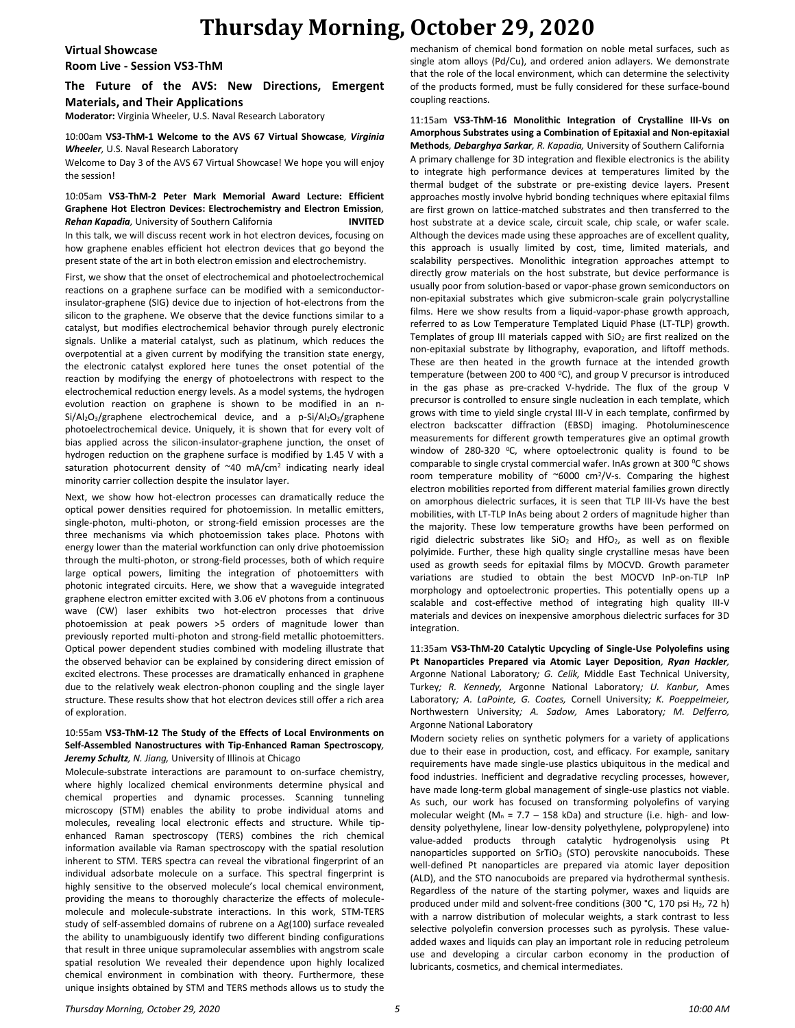### **Thursday Morning, October 29, 2020**

**Virtual Showcase**

**Room Live - Session VS3-ThM**

**The Future of the AVS: New Directions, Emergent Materials, and Their Applications**

**Moderator:** Virginia Wheeler, U.S. Naval Research Laboratory

#### 10:00am **VS3-ThM-1 Welcome to the AVS 67 Virtual Showcase***, Virginia Wheeler,* U.S. Naval Research Laboratory

Welcome to Day 3 of the AVS 67 Virtual Showcase! We hope you will enjoy the session!

#### 10:05am **VS3-ThM-2 Peter Mark Memorial Award Lecture: Efficient Graphene Hot Electron Devices: Electrochemistry and Electron Emission***, Rehan Kapadia,* University of Southern California **INVITED**

In this talk, we will discuss recent work in hot electron devices, focusing on how graphene enables efficient hot electron devices that go beyond the present state of the art in both electron emission and electrochemistry.

First, we show that the onset of electrochemical and photoelectrochemical reactions on a graphene surface can be modified with a semiconductorinsulator-graphene (SIG) device due to injection of hot-electrons from the silicon to the graphene. We observe that the device functions similar to a catalyst, but modifies electrochemical behavior through purely electronic signals. Unlike a material catalyst, such as platinum, which reduces the overpotential at a given current by modifying the transition state energy, the electronic catalyst explored here tunes the onset potential of the reaction by modifying the energy of photoelectrons with respect to the electrochemical reduction energy levels. As a model systems, the hydrogen evolution reaction on graphene is shown to be modified in an n-Si/Al<sub>2</sub>O<sub>3</sub>/graphene electrochemical device, and a p-Si/Al<sub>2</sub>O<sub>3</sub>/graphene photoelectrochemical device. Uniquely, it is shown that for every volt of bias applied across the silicon-insulator-graphene junction, the onset of hydrogen reduction on the graphene surface is modified by 1.45 V with a saturation photocurrent density of  $\sim$ 40 mA/cm<sup>2</sup> indicating nearly ideal minority carrier collection despite the insulator layer.

Next, we show how hot-electron processes can dramatically reduce the optical power densities required for photoemission. In metallic emitters, single-photon, multi-photon, or strong-field emission processes are the three mechanisms via which photoemission takes place. Photons with energy lower than the material workfunction can only drive photoemission through the multi-photon, or strong-field processes, both of which require large optical powers, limiting the integration of photoemitters with photonic integrated circuits. Here, we show that a waveguide integrated graphene electron emitter excited with 3.06 eV photons from a continuous wave (CW) laser exhibits two hot-electron processes that drive photoemission at peak powers >5 orders of magnitude lower than previously reported multi-photon and strong-field metallic photoemitters. Optical power dependent studies combined with modeling illustrate that the observed behavior can be explained by considering direct emission of excited electrons. These processes are dramatically enhanced in graphene due to the relatively weak electron-phonon coupling and the single layer structure. These results show that hot electron devices still offer a rich area of exploration.

#### 10:55am **VS3-ThM-12 The Study of the Effects of Local Environments on Self-Assembled Nanostructures with Tip-Enhanced Raman Spectroscopy***, Jeremy Schultz, N. Jiang,* University of Illinois at Chicago

Molecule-substrate interactions are paramount to on-surface chemistry, where highly localized chemical environments determine physical and chemical properties and dynamic processes. Scanning tunneling microscopy (STM) enables the ability to probe individual atoms and molecules, revealing local electronic effects and structure. While tipenhanced Raman spectroscopy (TERS) combines the rich chemical information available via Raman spectroscopy with the spatial resolution inherent to STM. TERS spectra can reveal the vibrational fingerprint of an individual adsorbate molecule on a surface. This spectral fingerprint is highly sensitive to the observed molecule's local chemical environment, providing the means to thoroughly characterize the effects of moleculemolecule and molecule-substrate interactions. In this work, STM-TERS study of self-assembled domains of rubrene on a Ag(100) surface revealed the ability to unambiguously identify two different binding configurations that result in three unique supramolecular assemblies with angstrom scale spatial resolution We revealed their dependence upon highly localized chemical environment in combination with theory. Furthermore, these unique insights obtained by STM and TERS methods allows us to study the

mechanism of chemical bond formation on noble metal surfaces, such as single atom alloys (Pd/Cu), and ordered anion adlayers. We demonstrate that the role of the local environment, which can determine the selectivity of the products formed, must be fully considered for these surface-bound coupling reactions.

11:15am **VS3-ThM-16 Monolithic Integration of Crystalline III-Vs on Amorphous Substrates using a Combination of Epitaxial and Non-epitaxial Methods***, Debarghya Sarkar, R. Kapadia,* University of Southern California A primary challenge for 3D integration and flexible electronics is the ability to integrate high performance devices at temperatures limited by the thermal budget of the substrate or pre-existing device layers. Present approaches mostly involve hybrid bonding techniques where epitaxial films are first grown on lattice-matched substrates and then transferred to the host substrate at a device scale, circuit scale, chip scale, or wafer scale. Although the devices made using these approaches are of excellent quality, this approach is usually limited by cost, time, limited materials, and scalability perspectives. Monolithic integration approaches attempt to directly grow materials on the host substrate, but device performance is usually poor from solution-based or vapor-phase grown semiconductors on non-epitaxial substrates which give submicron-scale grain polycrystalline films. Here we show results from a liquid-vapor-phase growth approach, referred to as Low Temperature Templated Liquid Phase (LT-TLP) growth. Templates of group III materials capped with  $SiO<sub>2</sub>$  are first realized on the non-epitaxial substrate by lithography, evaporation, and liftoff methods. These are then heated in the growth furnace at the intended growth temperature (between 200 to 400  $^{\circ}$ C), and group V precursor is introduced in the gas phase as pre-cracked V-hydride. The flux of the group V precursor is controlled to ensure single nucleation in each template, which grows with time to yield single crystal III-V in each template, confirmed by electron backscatter diffraction (EBSD) imaging. Photoluminescence measurements for different growth temperatures give an optimal growth window of 280-320  $^{\circ}$ C, where optoelectronic quality is found to be comparable to single crystal commercial wafer. InAs grown at 300 °C shows room temperature mobility of  $\sim 6000$  cm<sup>2</sup>/V-s. Comparing the highest electron mobilities reported from different material families grown directly on amorphous dielectric surfaces, it is seen that TLP III-Vs have the best mobilities, with LT-TLP InAs being about 2 orders of magnitude higher than the majority. These low temperature growths have been performed on rigid dielectric substrates like  $SiO<sub>2</sub>$  and HfO<sub>2</sub>, as well as on flexible polyimide. Further, these high quality single crystalline mesas have been used as growth seeds for epitaxial films by MOCVD. Growth parameter variations are studied to obtain the best MOCVD InP-on-TLP InP morphology and optoelectronic properties. This potentially opens up a scalable and cost-effective method of integrating high quality III-V materials and devices on inexpensive amorphous dielectric surfaces for 3D integration.

11:35am **VS3-ThM-20 Catalytic Upcycling of Single-Use Polyolefins using Pt Nanoparticles Prepared via Atomic Layer Deposition***, Ryan Hackler,*  Argonne National Laboratory*; G. Celik,* Middle East Technical University, Turkey*; R. Kennedy,* Argonne National Laboratory*; U. Kanbur,* Ames Laboratory*; A. LaPointe, G. Coates,* Cornell University*; K. Poeppelmeier,*  Northwestern University*; A. Sadow,* Ames Laboratory*; M. Delferro,*  Argonne National Laboratory

Modern society relies on synthetic polymers for a variety of applications due to their ease in production, cost, and efficacy. For example, sanitary requirements have made single-use plastics ubiquitous in the medical and food industries. Inefficient and degradative recycling processes, however, have made long-term global management of single-use plastics not viable. As such, our work has focused on transforming polyolefins of varying molecular weight ( $M_n$  = 7.7 – 158 kDa) and structure (i.e. high- and lowdensity polyethylene, linear low-density polyethylene, polypropylene) into value-added products through catalytic hydrogenolysis using Pt nanoparticles supported on  $SrTiO<sub>3</sub>$  (STO) perovskite nanocuboids. These well-defined Pt nanoparticles are prepared via atomic layer deposition (ALD), and the STO nanocuboids are prepared via hydrothermal synthesis. Regardless of the nature of the starting polymer, waxes and liquids are produced under mild and solvent-free conditions (300 °C, 170 psi H<sub>2</sub>, 72 h) with a narrow distribution of molecular weights, a stark contrast to less selective polyolefin conversion processes such as pyrolysis. These valueadded waxes and liquids can play an important role in reducing petroleum use and developing a circular carbon economy in the production of lubricants, cosmetics, and chemical intermediates.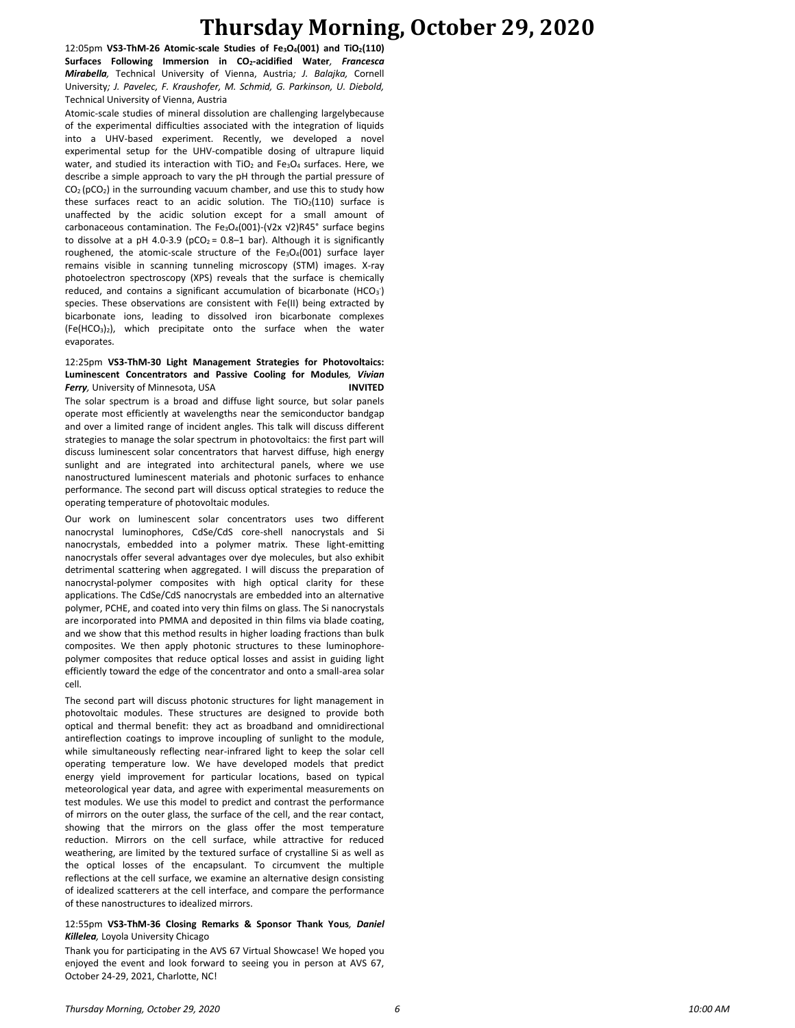## **Thursday Morning, October 29, 2020**

12:05pm **VS3-ThM-26 Atomic-scale Studies of Fe3O4(001) and TiO2(110) Surfaces Following Immersion in CO2-acidified Water***, Francesca Mirabella,* Technical University of Vienna, Austria*; J. Balajka,* Cornell University*; J. Pavelec, F. Kraushofer, M. Schmid, G. Parkinson, U. Diebold,*  Technical University of Vienna, Austria

Atomic-scale studies of mineral dissolution are challenging largelybecause of the experimental difficulties associated with the integration of liquids into a UHV-based experiment. Recently, we developed a novel experimental setup for the UHV-compatible dosing of ultrapure liquid water, and studied its interaction with TiO<sub>2</sub> and Fe<sub>3</sub>O<sub>4</sub> surfaces. Here, we describe a simple approach to vary the pH through the partial pressure of  $CO<sub>2</sub>(pCO<sub>2</sub>)$  in the surrounding vacuum chamber, and use this to study how these surfaces react to an acidic solution. The  $TiO<sub>2</sub>(110)$  surface is unaffected by the acidic solution except for a small amount of carbonaceous contamination. The Fe3O4(001)-(√2x √2)R45° surface begins to dissolve at a pH 4.0-3.9 (pCO<sub>2</sub> = 0.8–1 bar). Although it is significantly roughened, the atomic-scale structure of the Fe3O4(001) surface layer remains visible in scanning tunneling microscopy (STM) images. X-ray photoelectron spectroscopy (XPS) reveals that the surface is chemically reduced, and contains a significant accumulation of bicarbonate (HCO $_3$ ) species. These observations are consistent with Fe(II) being extracted by bicarbonate ions, leading to dissolved iron bicarbonate complexes  $(Fe(HCO<sub>3</sub>)<sub>2</sub>)$ , which precipitate onto the surface when the water evaporates.

#### 12:25pm **VS3-ThM-30 Light Management Strategies for Photovoltaics: Luminescent Concentrators and Passive Cooling for Modules***, Vivian*  **Ferry**, University of Minnesota, USA **INVITED**

The solar spectrum is a broad and diffuse light source, but solar panels operate most efficiently at wavelengths near the semiconductor bandgap and over a limited range of incident angles. This talk will discuss different strategies to manage the solar spectrum in photovoltaics: the first part will discuss luminescent solar concentrators that harvest diffuse, high energy sunlight and are integrated into architectural panels, where we use nanostructured luminescent materials and photonic surfaces to enhance performance. The second part will discuss optical strategies to reduce the operating temperature of photovoltaic modules.

Our work on luminescent solar concentrators uses two different nanocrystal luminophores, CdSe/CdS core-shell nanocrystals and Si nanocrystals, embedded into a polymer matrix. These light-emitting nanocrystals offer several advantages over dye molecules, but also exhibit detrimental scattering when aggregated. I will discuss the preparation of nanocrystal-polymer composites with high optical clarity for these applications. The CdSe/CdS nanocrystals are embedded into an alternative polymer, PCHE, and coated into very thin films on glass. The Si nanocrystals are incorporated into PMMA and deposited in thin films via blade coating, and we show that this method results in higher loading fractions than bulk composites. We then apply photonic structures to these luminophorepolymer composites that reduce optical losses and assist in guiding light efficiently toward the edge of the concentrator and onto a small-area solar cell.

The second part will discuss photonic structures for light management in photovoltaic modules. These structures are designed to provide both optical and thermal benefit: they act as broadband and omnidirectional antireflection coatings to improve incoupling of sunlight to the module, while simultaneously reflecting near-infrared light to keep the solar cell operating temperature low. We have developed models that predict energy yield improvement for particular locations, based on typical meteorological year data, and agree with experimental measurements on test modules. We use this model to predict and contrast the performance of mirrors on the outer glass, the surface of the cell, and the rear contact, showing that the mirrors on the glass offer the most temperature reduction. Mirrors on the cell surface, while attractive for reduced weathering, are limited by the textured surface of crystalline Si as well as the optical losses of the encapsulant. To circumvent the multiple reflections at the cell surface, we examine an alternative design consisting of idealized scatterers at the cell interface, and compare the performance of these nanostructures to idealized mirrors.

#### 12:55pm **VS3-ThM-36 Closing Remarks & Sponsor Thank Yous***, Daniel Killelea,* Loyola University Chicago

Thank you for participating in the AVS 67 Virtual Showcase! We hoped you enjoyed the event and look forward to seeing you in person at AVS 67, October 24-29, 2021, Charlotte, NC!